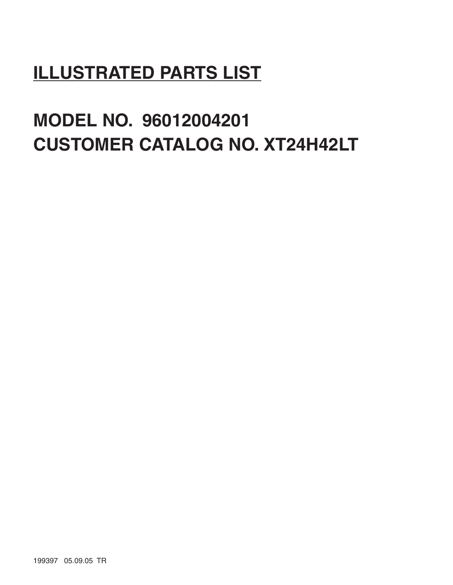# **ILLUSTRATED PARTS LIST**

# **MODEL NO. 96012004201 CUSTOMER CATALOG NO. XT24H42LT**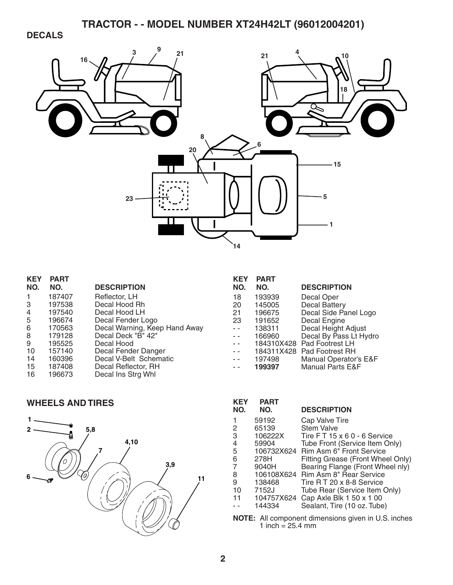### **DECALS**



| <b>KEY</b><br>NO. | <b>PART</b><br>NO. | <b>DESCRIPTION</b>            |
|-------------------|--------------------|-------------------------------|
| 1                 | 187407             | Reflector, LH                 |
| З                 | 197538             | Decal Hood Rh                 |
| 4                 | 197540             | Decal Hood LH                 |
| 5                 | 196674             | Decal Fender Logo             |
| 6                 | 170563             | Decal Warning, Keep Hand Away |
| 8                 | 179128             | Decal Deck "B" 42"            |
| 9                 | 195525             | Decal Hood                    |
| 10                | 157140             | Decal Fender Danger           |
| 14                | 160396             | Decal V-Belt Schematic        |
| 15                | 187408             | Decal Reflector, RH           |
| 16                | 196673             | Decal Ins Strg Whl            |
|                   |                    |                               |

#### **WHEELS AND TIRES**



| <b>KEY</b> | <b>PART</b> |                             |
|------------|-------------|-----------------------------|
| NO.        | NO.         | <b>DESCRIPTION</b>          |
| 18         | 193939      | Decal Oper                  |
| 20         | 145005      | <b>Decal Battery</b>        |
| 21         | 196675      | Decal Side Panel Logo       |
| 23         | 191652      | Decal Engine                |
|            | 138311      | Decal Height Adjust         |
|            | 166960      | Decal By Pass Lt Hydro      |
|            | 184310X428  | Pad Footrest LH             |
|            | 184311X428  | Pad Footrest RH             |
|            | 197498      | Manual Operator's E&F       |
|            | 199397      | <b>Manual Parts E&amp;F</b> |

| KEY<br>NO. | PART<br>NO. | <b>DESCRIPTION</b>                 |
|------------|-------------|------------------------------------|
|            | 59192       | Cap Valve Tire                     |
| 2          | 65139       | <b>Stem Valve</b>                  |
| 3          | 106222X     | Tire FT 15 x 6 0 - 6 Service       |
| 4          | 59904       | Tube Front (Service Item Only)     |
| 5          | 106732X624  | Rim Asm 6" Front Service           |
| 6          | 278H        | Fitting Grease (Front Wheel Only)  |
| 7          | 9040H       | Bearing Flange (Front Wheel nly)   |
| 8          |             | 106108X624 Rim Asm 8" Rear Service |
| 9          | 138468      | Tire R T 20 x 8-8 Service          |
| 10         | 7152J       | Tube Rear (Service Item Only)      |
| 11         | 104757X624  | Cap Axle Blk 1 50 x 1 00           |
|            | 144334      | Sealant, Tire (10 oz. Tube)        |
|            |             |                                    |

**NOTE:** All component dimensions given in U.S. inches 1 inch  $= 25.4$  mm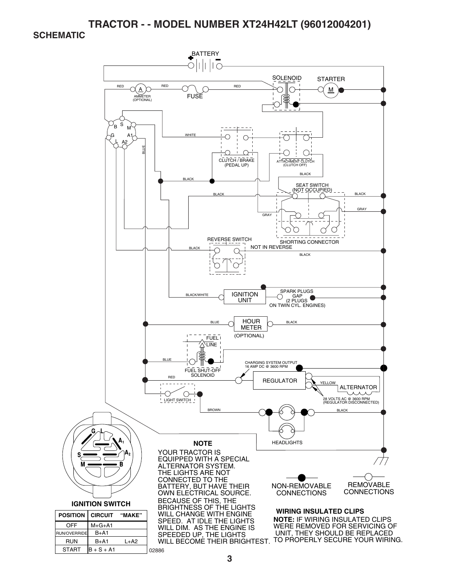#### **SCHEMATIC**

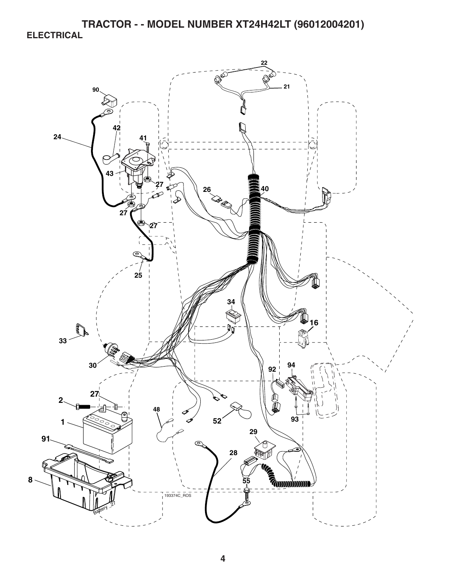**TRACTOR - - MODEL NUMBER XT24H42LT (96012004201) ELECTRICAL** 

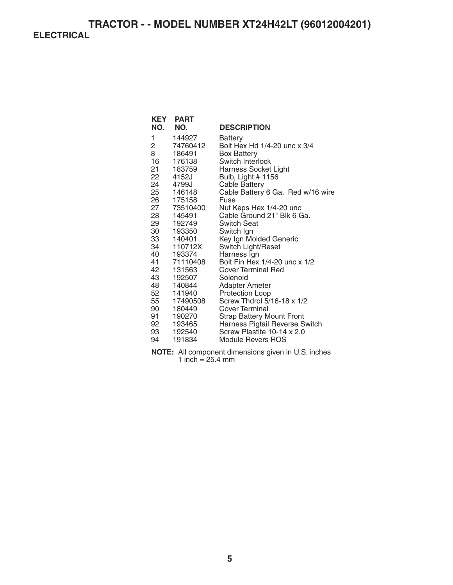| KEY<br>NO. | <b>PART</b><br>NO. | <b>DESCRIPTION</b>                              |
|------------|--------------------|-------------------------------------------------|
| 1          | 144927             | Battery                                         |
| 2          | 74760412           | Bolt Hex Hd 1/4-20 unc x 3/4                    |
| 8<br>16    | 186491<br>176138   | <b>Box Battery</b><br>Switch Interlock          |
| 21         | 183759             | Harness Socket Light                            |
| 22         | 4152J              | Bulb, Light # 1156                              |
| 24         | 4799J              | <b>Cable Battery</b>                            |
| 25         | 146148             | Cable Battery 6 Ga. Red w/16 wire               |
| 26         | 175158             | Fuse                                            |
| 27         | 73510400           | Nut Keps Hex 1/4-20 unc                         |
| 28         | 145491             | Cable Ground 21" Blk 6 Ga.                      |
| 29 —       | 192749             | <b>Switch Seat</b>                              |
| 30 —       | 193350             | Switch Ign                                      |
| 33         | 140401<br>110712X  | Key Ign Molded Generic                          |
| 34<br>40 — | 193374             | Switch Light/Reset<br>Harness Ign               |
| 41         | 71110408           | Bolt Fin Hex 1/4-20 unc x 1/2                   |
| 42 —       | 131563             | <b>Cover Terminal Red</b>                       |
| 43         | 192507             | Solenoid                                        |
| 48         | 140844             | <b>Adapter Ameter</b>                           |
| 52         | 141940             | <b>Protection Loop</b>                          |
| 55         | 17490508           | Screw Thdrol 5/16-18 x 1/2                      |
| 90         | 180449             | Cover Terminal                                  |
| 91         | 190270             | <b>Strap Battery Mount Front</b>                |
| 92         | 193465             | Harness Pigtail Reverse Switch                  |
| 93 —       | 192540             | Screw Plastite 10-14 x 2.0<br>Module Revers ROS |
| 94         | 191834             |                                                 |

**NOTE:** All component dimensions given in U.S. inches 1 inch = 25.4 mm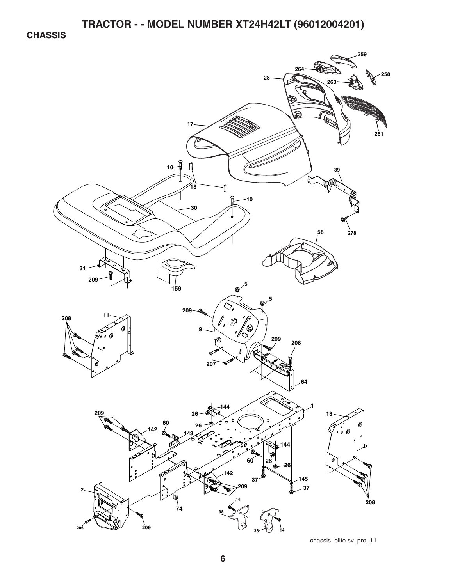**CHASSIS** 

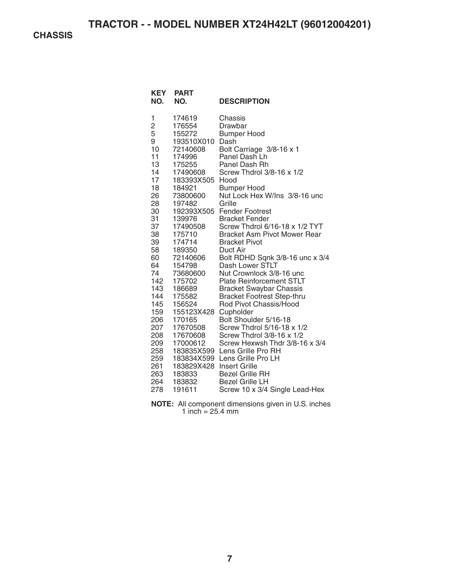**CHASSIS** 

| <b>KEY</b><br>NO. | <b>PART</b><br>NO. | <b>DESCRIPTION</b>                  |
|-------------------|--------------------|-------------------------------------|
| 1                 | 174619             | Chassis                             |
| $\overline{c}$    | 176554             | Drawbar                             |
| 5                 | 155272             | <b>Bumper Hood</b>                  |
| 9                 | 193510X010         | Dash                                |
| 10                | 72140608           | Bolt Carriage 3/8-16 x 1            |
| 11                | 174996             | Panel Dash Lh                       |
| 13                | 175255             | Panel Dash Rh                       |
| 14                | 17490608           | Screw Thdrol 3/8-16 x 1/2           |
| 17                | 183393X505         | Hood                                |
| 18                | 184921             | <b>Bumper Hood</b>                  |
| 26                | 73800600           | Nut Lock Hex W/Ins 3/8-16 unc       |
| 28                | 197482             | Grille                              |
| 30                | 192393X505         | <b>Fender Footrest</b>              |
| 31                | 139976             | <b>Bracket Fender</b>               |
| 37                | 17490508           | Screw Thdrol 6/16-18 x 1/2 TYT      |
| 38                | 175710             | <b>Bracket Asm Pivot Mower Rear</b> |
| 39                | 174714             | <b>Bracket Pivot</b>                |
| 58                | 189350             | Duct Air                            |
| 60                | 72140606           | Bolt RDHD Sqnk 3/8-16 unc x 3/4     |
| 64                | 154798             | Dash Lower STLT                     |
| 74                | 73680600           | Nut Crownlock 3/8-16 unc            |
| 142               | 175702             | <b>Plate Reinforcement STLT</b>     |
| 143               | 186689             | <b>Bracket Swaybar Chassis</b>      |
| 144               | 175582             | <b>Bracket Footrest Step-thru</b>   |
| 145               | 156524             | Rod Pivot Chassis/Hood              |
| 159               | 155123X428         | Cupholder                           |
| 206               | 170165             | Bolt Shoulder 5/16-18               |
| 207               | 17670508           | Screw Thdrol 5/16-18 x 1/2          |
| 208               | 17670608           | Screw Thdrol 3/8-16 x 1/2           |
| 209               | 17000612           | Screw Hexwsh Thdr 3/8-16 x 3/4      |
| 258               | 183835X599         | Lens Grille Pro RH                  |
| 259               | 183834X599         | Lens Grille Pro LH                  |
| 261               | 183829X428         | <b>Insert Grille</b>                |
| 263               | 183833             | <b>Bezel Grille RH</b>              |
| 264               | 183832             | <b>Bezel Grille LH</b>              |
| 278               | 191611             | Screw 10 x 3/4 Single Lead-Hex      |

**NOTE:** All component dimensions given in U.S. inches 1 inch  $= 25.4$  mm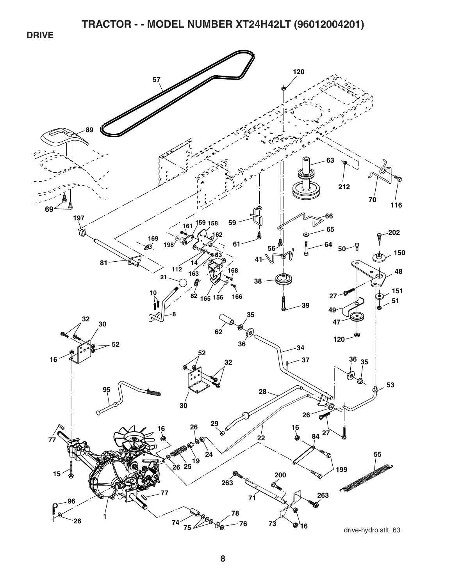**DRIVE** 

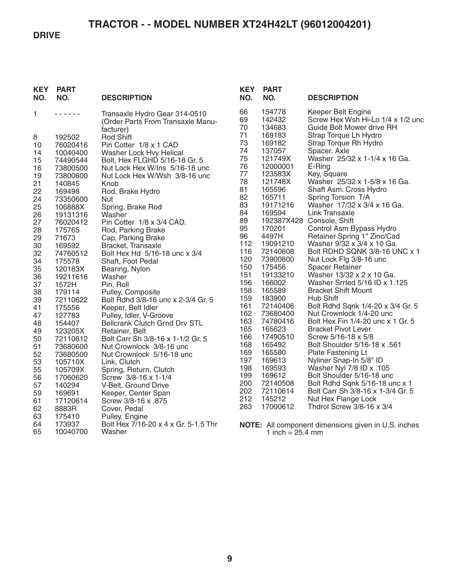#### **DRIVE**

| <b>KEY</b><br>NO. | <b>PART</b><br>NO.   | <b>DESCRIPTION</b>                                       | <b>KEY</b><br>NO. | <b>PART</b><br>NO.         | <b>DESCRIPTION</b>                                             |
|-------------------|----------------------|----------------------------------------------------------|-------------------|----------------------------|----------------------------------------------------------------|
| 1                 | .                    | Transaxle Hydro Gear 314-0510                            | 66                | 154778                     | Keeper Belt Engine                                             |
|                   |                      | (Order Parts From Transaxle Manu-                        | 69<br>70          | 142432<br>134683           | Screw Hex Wsh Hi-Lo 1/4 x 1/2 und<br>Guide Bolt Mower drive RH |
|                   |                      | facturer)                                                | 71                | 169183                     | Strap Torque Lh Hydro                                          |
| 8                 | 192502               | <b>Rod Shift</b>                                         | 73                | 169182                     | Strap Torque Rh Hydro                                          |
| 10                | 76020416             | Pin Cotter 1/8 x 1 CAD                                   | 74                | 137057                     | Spacer, Axle                                                   |
| 14<br>15          | 10040400<br>74490544 | Washer Lock Hvy Helical<br>Bolt, Hex FLGHD 5/16-18 Gr. 5 | 75                | 121749X                    | Washer 25/32 x 1-1/4 x 16 Ga.                                  |
| 16                | 73800500             | Nut Lock Hex W/Ins 5/16-18 unc                           | 76                | 12000001                   | E-Ring                                                         |
| 19                | 73800600             | Nut Lock Hex W/Wsh 3/8-16 unc                            | 77                | 123583X                    | Key, Square                                                    |
| 21                | 140845               | Knob                                                     | 78                | 121748X                    | Washer 25/32 x 1-5/8 x 16 Ga.                                  |
| 22                | 169498               | Rod, Brake Hydro                                         | 81                | 165596                     | Shaft Asm. Cross Hydro                                         |
| 24                | 73350600             | Nut                                                      | 82                | 165711                     | Spring Torsion T/A                                             |
| 25                | 106888X              | Spring, Brake Rod                                        | 83                | 19171216                   | Washer 17/32 x 3/4 x 16 Ga.                                    |
| 26                | 19131316             | Washer                                                   | 84                | 169594                     | Link Transaxle                                                 |
| 27                | 76020412             | Pin Cotter 1/8 x 3/4 CAD.                                | 89                |                            | 192387X428 Console, Shift                                      |
| 28                | 175765               | Rod, Parking Brake                                       | 95                | 170201                     | Control Asm Bypass Hydro                                       |
| 29                | 71673                | Cap, Parking Brake                                       | 96                | 4497H                      | Retainer Spring 1" Zinc/Cad                                    |
| 30                | 169592               | Bracket, Transaxle                                       | 112               | 19091210                   | Washer 9/32 x 3/4 x 10 Ga.                                     |
| 32                | 74760512             | Bolt Hex Hd 5/16-18 unc x 3/4                            | 116               | 72140608                   | Bolt RDHD SQNK 3/8-16 UNC x 1                                  |
| 34                | 175578               | Shaft, Foot Pedal                                        | 120               | 73900600                   | Nut Lock Flg 3/8-16 unc                                        |
| 35                | 120183X              | Bearing, Nylon                                           | 150               | 175456                     | Spacer Retainer                                                |
| 36                | 19211616             | Washer                                                   | 151               | 19133210                   | Washer 13/32 x 2 x 10 Ga.                                      |
| 37                | 1572H                | Pin, Roll                                                | 156<br>158        | 166002<br>165589           | Washer Srrted 5/16 ID x 1.125<br><b>Bracket Shift Mount</b>    |
| 38                | 179114               | Pulley, Composite                                        | 159               | 183900                     | Hub Shift                                                      |
| 39                | 72110622             | Bolt Rdhd 3/8-16 unc x 2-3/4 Gr. 5                       | 161               | 72140406                   | Bolt Rdhd Sqnk 1/4-20 x 3/4 Gr. 5                              |
| 41<br>47          | 175556               | Keeper, Belt Idler                                       | 162               | 73680400                   | Nut Crownlock 1/4-20 unc                                       |
| 48                | 127783<br>154407     | Pulley, Idler, V-Groove<br>Bellcrank Clutch Grnd Drv STL | 163               | 74780416                   | Bolt Hex Fin 1/4-20 unc x 1 Gr. 5                              |
| 49                | 123205X              | Retainer, Belt                                           | 165               | 165623                     | <b>Bracket Pivot Lever</b>                                     |
| 50                | 72110612             | Bolt Carr Sh 3/8-16 x 1-1/2 Gr. 5                        | 166               | 17490510                   | Screw 5/16-18 x 5/8                                            |
| 51                | 73680600             | Nut Crownlock 3/8-16 unc                                 | 168               | 165492                     | Bolt Shoulder 5/16-18 x .561                                   |
| 52                | 73680500             | Nut Crownlock 5/16-18 unc                                | 169               | 165580                     | Plate Fastening Lt                                             |
| 53                | 105710X              | Link, Clutch                                             | 197               | 169613                     | Nyliner Snap-In 5/8" ID                                        |
| 55                | 105709X              | Spring, Return, Clutch                                   | 198               | 169593                     | Washer Nyl 7/8 ID x .105                                       |
| 56                | 17060620             | Screw 3/8-16 x 1-1/4                                     | 199               | 169612                     | Bolt Shoulder 5/16-18 unc                                      |
| 57                | 140294               | V-Belt, Ground Drive                                     | 200               | 72140508                   | Bolt Rdhd Sqnk 5/16-18 unc x 1                                 |
| 59                | 169691               | Keeper, Center Span                                      | 202               | 72110614                   | Bolt Carr Sh 3/8-16 x 1-3/4 Gr. 5                              |
| 61                | 17120614             | Screw 3/8-16 x .875                                      | 212               | 145212                     | Nut Hex Flange Lock                                            |
| 62                | 8883R                | Cover, Pedal                                             | 263               | 17000612                   | Thdrol Screw 3/8-16 x 3/4                                      |
| 63                | 175410               | Pulley, Engine                                           |                   |                            |                                                                |
| 64                | 173937               | Bolt Hex 7/16-20 x 4 x Gr. 5-1.5 Thr                     |                   |                            | NOTE: All component dimensions given in U.S. inches            |
| 65                | 10040700             | Washer                                                   |                   | 1 inch = $25.4 \text{ mm}$ |                                                                |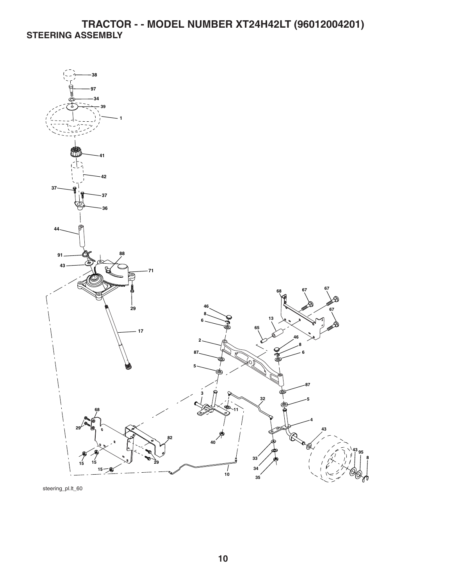### **TRACTOR - - MODEL NUMBER XT24H42LT (96012004201) STEERING ASSEMBLY**



steering\_pl.lt\_60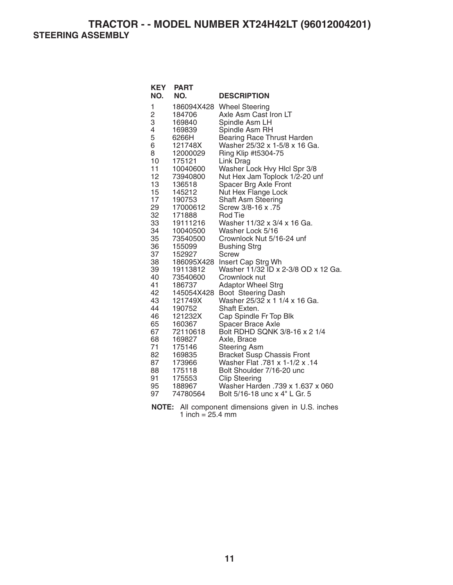**TRACTOR - - MODEL NUMBER XT24H42LT (96012004201) STEERING ASSEMBLY** 

| <b>KEY</b><br>NO.        | <b>PART</b><br>NO. | <b>DESCRIPTION</b>                                      |
|--------------------------|--------------------|---------------------------------------------------------|
|                          |                    |                                                         |
| 1                        |                    | 186094X428 Wheel Steering                               |
| $\frac{2}{3}$            | 184706             | Axle Asm Cast Iron LT                                   |
|                          | 169840             | Spindle Asm LH                                          |
| $\overline{\mathcal{L}}$ | 169839             | Spindle Asm RH                                          |
| 5                        | 6266H              | Bearing Race Thrust Harden                              |
| 6                        | 121748X            | Washer 25/32 x 1-5/8 x 16 Ga.                           |
| 8                        | 12000029           | Ring Klip #t5304-75                                     |
| 10                       | 175121             | Link Drag                                               |
| 11<br>12                 | 10040600           | Washer Lock Hvy Hlcl Spr 3/8                            |
| 13                       | 73940800<br>136518 | Nut Hex Jam Toplock 1/2-20 unf<br>Spacer Brg Axle Front |
| 15                       | 145212             | Nut Hex Flange Lock                                     |
| 17                       | 190753             | <b>Shaft Asm Steering</b>                               |
| 29                       | 17000612           | Screw 3/8-16 x .75                                      |
| 32                       | 171888             | Rod Tie                                                 |
| 33                       | 19111216           | Washer 11/32 x 3/4 x 16 Ga.                             |
| 34                       | 10040500           | Washer Lock 5/16                                        |
| 35                       | 73540500           | Crownlock Nut 5/16-24 unf                               |
| 36                       | 155099             | <b>Bushing Strg</b>                                     |
| 37                       | 152927             | <b>Screw</b>                                            |
| 38                       | 186095X428         | Insert Cap Strg Wh                                      |
| 39                       | 19113812           | Washer 11/32 ID x 2-3/8 OD x 12 Ga.                     |
| 40                       | 73540600           | Crownlock nut                                           |
| 41                       | 186737             | <b>Adaptor Wheel Strg</b>                               |
| 42                       | 145054X428         | Boot Steering Dash                                      |
| 43                       | 121749X            | Washer 25/32 x 1 1/4 x 16 Ga.                           |
| 44                       | 190752             | Shaft Exten.                                            |
| 46                       | 121232X            | Cap Spindle Fr Top Blk                                  |
| 65                       | 160367             | Spacer Brace Axle                                       |
| 67                       | 72110618           | Bolt RDHD SQNK 3/8-16 x 2 1/4                           |
| 68                       | 169827             | Axle, Brace                                             |
| 71                       | 175146             | <b>Steering Asm</b>                                     |
| 82                       | 169835             | <b>Bracket Susp Chassis Front</b>                       |
| 87                       | 173966             | Washer Flat .781 x 1-1/2 x .14                          |
| 88                       | 175118             | Bolt Shoulder 7/16-20 unc                               |
| 91                       | 175553             | <b>Clip Steering</b>                                    |
| 95                       | 188967             | Washer Harden .739 x 1.637 x 060                        |
| 97                       | 74780564           | Bolt 5/16-18 unc x 4" L Gr. 5                           |

**NOTE:** All component dimensions given in U.S. inches 1 inch =  $25.4 \, \text{mm}$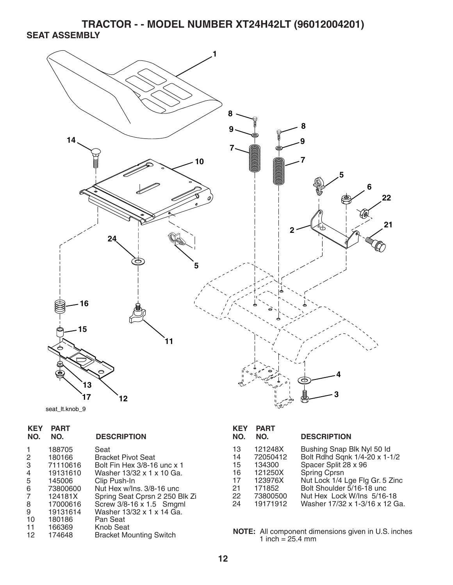**TRACTOR - - MODEL NUMBER XT24H42LT (96012004201) SEAT ASSEMBLY** 



```
seat_lt.knob_9
```

| <b>KEY</b><br>NO. | <b>PART</b><br>NO. | <b>DESCRIPTION</b>                                       |
|-------------------|--------------------|----------------------------------------------------------|
|                   | 188705             | Seat                                                     |
| 2<br>3            | 180166<br>71110616 | <b>Bracket Pivot Seat</b><br>Bolt Fin Hex 3/8-16 unc x 1 |
| 4                 | 19131610           | Washer 13/32 x 1 x 10 Ga.                                |
| 5                 | 145006             | Clip Push-In                                             |
| 6                 | 73800600           | Nut Hex w/Ins. 3/8-16 unc                                |
| 7                 | 124181X            | Spring Seat Cprsn 2 250 Blk Zi                           |
| 8                 | 17000616           | Screw 3/8-16 x 1.5 Smgml                                 |
| 9                 | 19131614           | Washer 13/32 x 1 x 14 Ga.                                |
| 10                | 180186             | Pan Seat                                                 |
| 11                | 166369             | Knob Seat                                                |
| 12                | 174648             | <b>Bracket Mounting Switch</b>                           |
|                   |                    |                                                          |

| KEY<br>NO. | <b>PART</b><br>NO. | <b>DESCRIPTION</b>              |
|------------|--------------------|---------------------------------|
| 13         | 121248X            | Bushing Snap Blk Nyl 50 Id      |
| 14         | 72050412           | Bolt Rdhd Sqnk 1/4-20 x 1-1/2   |
| 15         | 134300             | Spacer Split 28 x 96            |
| 16         | 121250X            | <b>Spring Cprsn</b>             |
| 17         | 123976X            | Nut Lock 1/4 Lge Flg Gr. 5 Zinc |
| 21         | 171852             | Bolt Shoulder 5/16-18 unc.      |
| 22         | 73800500           | Nut Hex Lock W/Ins 5/16-18      |
| 24         | 19171912           | Washer 17/32 x 1-3/16 x 12 Ga.  |

**NOTE:** All component dimensions given in U.S. inches 1 inch  $= 25.4$  mm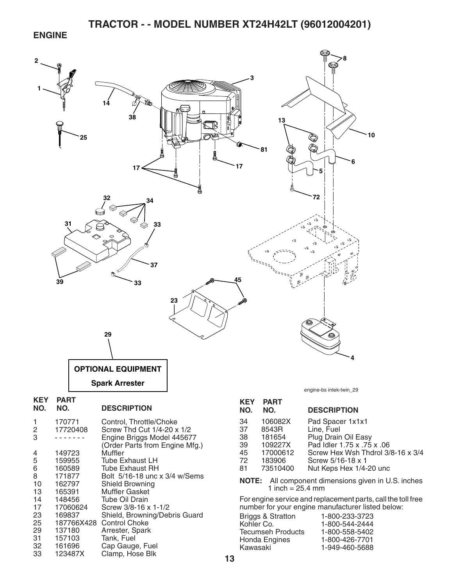#### **ENGINE**



32 161696 Cap Gauge, Fuel<br>33 123487X Clamp. Hose Blk

Clamp, Hose Blk

1-949-460-5688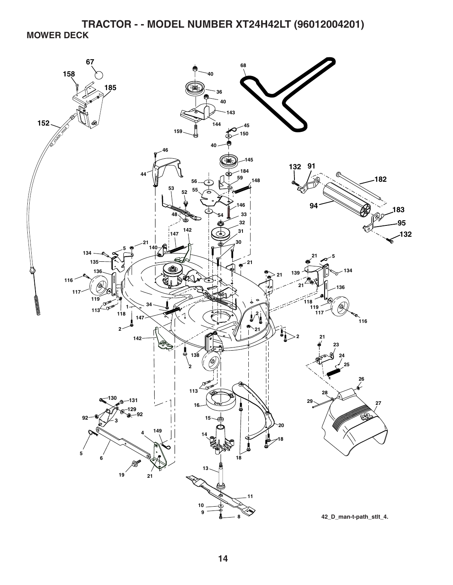**TRACTOR - - MODEL NUMBER XT24H42LT (96012004201) MOWER DECK** 

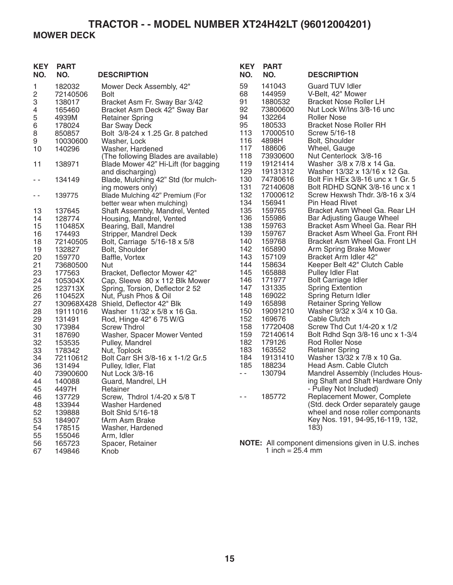## **MOWER DECK**

| <b>KEY</b><br>NO.        | <b>PART</b><br>NO.           | <b>DESCRIPTION</b>                                                              | <b>KEY</b><br>NO. | <b>PART</b><br>NO.           | <b>DESCRIPTION</b>                                                               |
|--------------------------|------------------------------|---------------------------------------------------------------------------------|-------------------|------------------------------|----------------------------------------------------------------------------------|
| 1<br>2<br>3              | 182032<br>72140506<br>138017 | Mower Deck Assembly, 42"<br><b>Bolt</b><br>Bracket Asm Fr. Sway Bar 3/42        | 59<br>68<br>91    | 141043<br>144959<br>1880532  | <b>Guard TUV Idler</b><br>V-Belt, 42" Mower<br><b>Bracket Nose Roller LH</b>     |
| $\overline{4}$<br>5<br>6 | 165460<br>4939M<br>178024    | Bracket Asm Deck 42" Sway Bar<br><b>Retainer Spring</b><br><b>Bar Sway Deck</b> | 92<br>94<br>95    | 73800600<br>132264<br>180533 | Nut Lock W/Ins 3/8-16 unc<br><b>Roller Nose</b><br><b>Bracket Nose Roller RH</b> |
| 8                        | 850857                       | Bolt 3/8-24 x 1.25 Gr. 8 patched                                                | 113               | 17000510                     | Screw 5/16-18                                                                    |
| 9                        | 10030600                     | Washer, Lock<br>Washer, Hardened                                                | 116<br>117        | 4898H<br>188606              | Bolt, Shoulder                                                                   |
| 10                       | 140296                       | (The following Blades are available)                                            | 118               | 73930600                     | Wheel, Gauge<br>Nut Centerlock 3/8-16                                            |
| 11                       | 138971                       | Blade Mower 42" Hi-Lift (for bagging<br>and discharging)                        | 119<br>129        | 19121414<br>19131312         | Washer 3/8 x 7/8 x 14 Ga.<br>Washer 13/32 x 13/16 x 12 Ga.                       |
| $\sim$ $-$               | 134149                       | Blade, Mulching 42" Std (for mulch-<br>ing mowers only)                         | 130<br>131        | 74780616<br>72140608         | Bolt Fin HEx 3/8-16 unc x 1 Gr. 5<br>Bolt RDHD SQNK 3/8-16 unc x 1               |
| - -                      | 139775                       | Blade Mulching 42" Premium (For<br>better wear when mulching)                   | 132<br>134        | 17000612<br>156941           | Screw Hexwsh Thdr. 3/8-16 x 3/4<br><b>Pin Head Rivet</b>                         |
| 13                       | 137645                       | Shaft Assembly, Mandrel, Vented                                                 | 135               | 159765                       | Bracket Asm Wheel Ga. Rear LH                                                    |
| 14                       | 128774                       | Housing, Mandrel, Vented                                                        | 136               | 155986                       | Bar Adjusting Gauge Wheel                                                        |
| 15                       | 110485X                      | Bearing, Ball, Mandrel                                                          | 138               | 159763                       | Bracket Asm Wheel Ga. Rear RH                                                    |
| 16                       | 174493                       | Stripper, Mandrel Deck                                                          | 139               | 159767                       | Bracket Asm Wheel Ga. Front RH                                                   |
| 18                       | 72140505<br>132827           | Bolt, Carriage 5/16-18 x 5/8<br>Bolt, Shoulder                                  | 140<br>142        | 159768<br>165890             | Bracket Asm Wheel Ga. Front LH                                                   |
| 19<br>20                 | 159770                       |                                                                                 | 143               | 157109                       | Arm Spring Brake Mower<br>Bracket Arm Idler 42"                                  |
| 21                       | 73680500                     | Baffle, Vortex<br>Nut                                                           | 144               | 158634                       | Keeper Belt 42" Clutch Cable                                                     |
| 23                       | 177563                       | Bracket, Deflector Mower 42"                                                    | 145               | 165888                       | <b>Pulley Idler Flat</b>                                                         |
| 24                       | 105304X                      | Cap, Sleeve 80 x 112 Blk Mower                                                  | 146               | 171977                       | <b>Bolt Carriage Idler</b>                                                       |
| 25                       | 123713X                      | Spring, Torsion, Deflector 2 52                                                 | 147               | 131335                       | <b>Spring Extention</b>                                                          |
| 26                       | 110452X                      | Nut, Push Phos & Oil                                                            | 148               | 169022                       | Spring Return Idler                                                              |
| 27                       |                              | 130968X428 Shield, Deflector 42" Blk                                            | 149               | 165898                       | <b>Retainer Spring Yellow</b>                                                    |
| 28                       | 19111016                     | Washer 11/32 x 5/8 x 16 Ga.                                                     | 150               | 19091210                     | Washer 9/32 x 3/4 x 10 Ga.                                                       |
| 29                       | 131491                       | Rod, Hinge 42" 6 75 W/G                                                         | 152               | 169676                       | Cable Clutch                                                                     |
| 30                       | 173984                       | <b>Screw Thdrol</b>                                                             | 158               | 17720408                     | Screw Thd Cut 1/4-20 x 1/2                                                       |
| 31                       | 187690                       | Washer, Spacer Mower Vented                                                     | 159               | 72140614                     | Bolt Rdhd Sqn 3/8-16 unc x 1-3/4                                                 |
| 32                       | 153535                       | Pulley, Mandrel                                                                 | 182               | 179126                       | <b>Rod Roller Nose</b>                                                           |
| 33                       | 178342                       | Nut, Toplock                                                                    | 183               | 163552                       | <b>Retainer Spring</b>                                                           |
| 34                       | 72110612                     | Bolt Carr SH 3/8-16 x 1-1/2 Gr.5                                                | 184               | 19131410                     | Washer 13/32 x 7/8 x 10 Ga.                                                      |
| 36                       | 131494                       | Pulley, Idler, Flat                                                             | 185               | 188234                       | Head Asm. Cable Clutch                                                           |
| 40                       | 73900600                     | Nut Lock 3/8-16                                                                 | $\sim$ $-$        | 130794                       | Mandrel Assembly (Includes Hous-                                                 |
| 44<br>45                 | 140088<br>4497H              | Guard, Mandrel, LH                                                              |                   |                              | ing Shaft and Shaft Hardware Only                                                |
| 46                       | 137729                       | Retainer<br>Screw, Thdrol 1/4-20 x 5/8 T                                        | $ -$              | 185772                       | - Pulley Not Included)<br>Replacement Mower, Complete                            |
| 48                       | 133944                       | <b>Washer Hardened</b>                                                          |                   |                              | (Std. deck Order separately gauge                                                |
| 52                       | 139888                       | Bolt Shld 5/16-18                                                               |                   |                              | wheel and nose roller componants                                                 |
| 53                       | 184907                       | fArm Asm Brake                                                                  |                   |                              | Key Nos. 191, 94-95, 16-119, 132,                                                |
| 54                       | 178515                       | Washer, Hardened                                                                |                   |                              | 183)                                                                             |
| 55                       | 155046                       | Arm, Idler                                                                      |                   |                              |                                                                                  |
| 56                       | 165723                       | Spacer, Retainer                                                                |                   |                              | <b>NOTE:</b> All component dimensions given in U.S. inches                       |
| 67                       | 149846                       | Knob                                                                            |                   | 1 inch = $25.4$ mm           |                                                                                  |